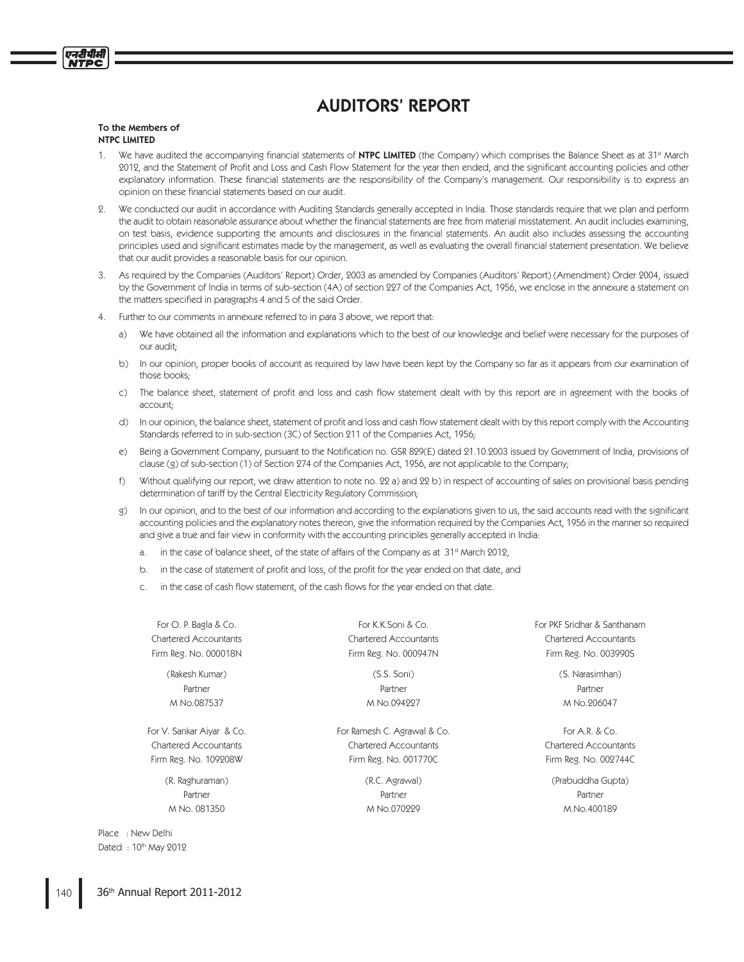# AUDITORS' REPORT

#### To the Members of NTPC LIMITED

प्रदर्शिका

- 1. We have audited the accompanying financial statements of NTPC LIMITED (the Company) which comprises the Balance Sheet as at 31<sup>st</sup> March 2012, and the Statement of Profit and Loss and Cash Flow Statement for the year then ended, and the significant accounting policies and other explanatory information. These financial statements are the responsibility of the Company's management. Our responsibility is to express an opinion on these financial statements based on our audit.
- We conducted our audit in accordance with Auditing Standards generally accepted in India. Those standards require that we plan and perform the audit to obtain reasonable assurance about whether the financial statements are free from material misstatement. An audit includes examining, on test basis, evidence supporting the amounts and disclosures in the financial statements. An audit also includes assessing the accounting principles used and significant estimates made by the management, as well as evaluating the overall financial statement presentation. We believe that our audit provides a reasonable basis for our opinion.
- 3. As required by the Companies (Auditors' Report) Order, 2003 as amended by Companies (Auditors' Report) (Amendment) Order 2004, issued by the Government of India in terms of sub-section (4A) of section 227 of the Companies Act, 1956, we enclose in the annexure a statement on the matters specified in paragraphs 4 and 5 of the said Order.
- 4. Further to our comments in annexure referred to in para 3 above, we report that:
	- a) We have obtained all the information and explanations which to the best of our knowledge and belief were necessary for the purposes of our audit;
	- b) In our opinion, proper books of account as required by law have been kept by the Company so far as it appears from our examination of those books;
	- c) The balance sheet, statement of profit and loss and cash flow statement dealt with by this report are in agreement with the books of account;
	- d) In our opinion, the balance sheet, statement of profit and loss and cash flow statement dealt with by this report comply with the Accounting Standards referred to in sub-section (3C) of Section 211 of the Companies Act, 1956;
	- e) Being a Government Company, pursuant to the Notification no. GSR 829(E) dated 21.10.2003 issued by Government of India, provisions of clause (g) of sub-section (1) of Section 274 of the Companies Act, 1956, are not applicable to the Company;
	- f) Without qualifying our report, we draw attention to note no. 22 a) and 22 b) in respect of accounting of sales on provisional basis pending determination of tariff by the Central Electricity Regulatory Commission;
	- g) In our opinion, and to the best of our information and according to the explanations given to us, the said accounts read with the significant accounting policies and the explanatory notes thereon, give the information required by the Companies Act, 1956 in the manner so required and give a true and fair view in conformity with the accounting principles generally accepted in India:
		- a. in the case of balance sheet, of the state of affairs of the Company as at  $31<sup>st</sup>$  March 2012,
		- b. in the case of statement of profit and loss, of the profit for the year ended on that date, and
		- c. in the case of cash flow statement, of the cash flows for the year ended on that date.

Place : New Delhi Dated : 10th May 2012

Partner Partner Partner

For V. Sankar Aiyar & Co. For Ramesh C. Agrawal & Co. For A.R. & Co. For A.R. & Co. Chartered Accountants Chartered Accountants Chartered Accountants Firm Reg. No. 109208W Firm Reg. No. 001770C Firm Reg. No. 002744C

Partner Partner Partner M No. 081350 M No.070229 M.No.400189

For O. P. Bagla & Co. For K.K.Soni & Co. For PKF Sridhar & Santhanam Chartered Accountants Chartered Accountants Chartered Accountants Firm Reg. No. 000018N Firm Reg. No. 000947N Firm Reg. No. 003990S

(Rakesh Kumar) (S.S. Soni) (S. Narasimhan) M No.087537 M No.094227 M No.206047

(R. Raghuraman) (R.C. Agrawal) (Prabuddha Gupta)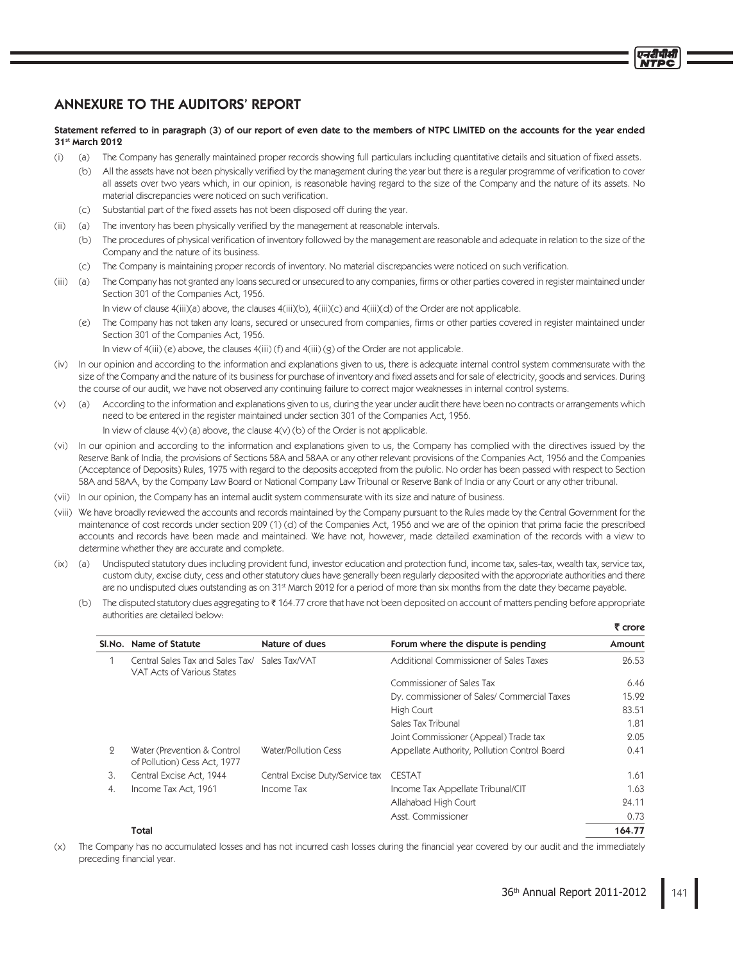## ANNEXURE TO THE AUDITORS' REPORT

### Statement referred to in paragraph (3) of our report of even date to the members of NTPC LIMITED on the accounts for the year ended 31st March 2012

- (i) (a) The Company has generally maintained proper records showing full particulars including quantitative details and situation of fixed assets.
	- (b) All the assets have not been physically verified by the management during the year but there is a regular programme of verification to cover all assets over two years which, in our opinion, is reasonable having regard to the size of the Company and the nature of its assets. No material discrepancies were noticed on such verification.
	- (c) Substantial part of the fixed assets has not been disposed off during the year.
- (ii) (a) The inventory has been physically verified by the management at reasonable intervals.
	- (b) The procedures of physical verification of inventory followed by the management are reasonable and adequate in relation to the size of the Company and the nature of its business.
	- (c) The Company is maintaining proper records of inventory. No material discrepancies were noticed on such verification.
- (iii) (a) The Company has not granted any loans secured or unsecured to any companies, firms or other parties covered in register maintained under Section 301 of the Companies Act, 1956.

In view of clause 4(iii)(a) above, the clauses 4(iii)(b), 4(iii)(c) and 4(iii)(d) of the Order are not applicable.

(e) The Company has not taken any loans, secured or unsecured from companies, firms or other parties covered in register maintained under Section 301 of the Companies Act, 1956.

In view of 4(iii) (e) above, the clauses 4(iii) (f) and 4(iii) (g) of the Order are not applicable.

- (iv) In our opinion and according to the information and explanations given to us, there is adequate internal control system commensurate with the size of the Company and the nature of its business for purchase of inventory and fixed assets and for sale of electricity, goods and services. During the course of our audit, we have not observed any continuing failure to correct major weaknesses in internal control systems.
- (v) (a) According to the information and explanations given to us, during the year under audit there have been no contracts or arrangements which need to be entered in the register maintained under section 301 of the Companies Act, 1956. In view of clause  $4(v)$  (a) above, the clause  $4(v)$  (b) of the Order is not applicable.
- (vi) In our opinion and according to the information and explanations given to us, the Company has complied with the directives issued by the Reserve Bank of India, the provisions of Sections 58A and 58AA or any other relevant provisions of the Companies Act, 1956 and the Companies (Acceptance of Deposits) Rules, 1975 with regard to the deposits accepted from the public. No order has been passed with respect to Section 58A and 58AA, by the Company Law Board or National Company Law Tribunal or Reserve Bank of India or any Court or any other tribunal.
- (vii) In our opinion, the Company has an internal audit system commensurate with its size and nature of business.
- (viii) We have broadly reviewed the accounts and records maintained by the Company pursuant to the Rules made by the Central Government for the maintenance of cost records under section 209 (1) (d) of the Companies Act, 1956 and we are of the opinion that prima facie the prescribed accounts and records have been made and maintained. We have not, however, made detailed examination of the records with a view to determine whether they are accurate and complete.
- (ix) (a) Undisputed statutory dues including provident fund, investor education and protection fund, income tax, sales-tax, wealth tax, service tax, custom duty, excise duty, cess and other statutory dues have generally been regularly deposited with the appropriate authorities and there are no undisputed dues outstanding as on 31<sup>st</sup> March 2012 for a period of more than six months from the date they became payable.
- (b) The disputed statutory dues aggregating to 164.77 crore that have not been deposited on account of matters pending before appropriate authorities are detailed below:

|                |                                                                              |                                 |                                              | ₹ crore |
|----------------|------------------------------------------------------------------------------|---------------------------------|----------------------------------------------|---------|
|                | SI.No. Name of Statute                                                       | Nature of dues                  | Forum where the dispute is pending           | Amount  |
|                | Central Sales Tax and Sales Tax/ Sales Tax/VAT<br>VAT Acts of Various States |                                 | Additional Commissioner of Sales Taxes       | 26.53   |
|                |                                                                              |                                 | Commissioner of Sales Tax                    | 6.46    |
|                |                                                                              |                                 | Dy. commissioner of Sales/ Commercial Taxes  | 15.92   |
|                |                                                                              |                                 | High Court                                   | 83.51   |
|                |                                                                              |                                 | Sales Tax Tribunal                           | 1.81    |
|                |                                                                              |                                 | Joint Commissioner (Appeal) Trade tax        | 2.05    |
| $\overline{Q}$ | Water (Prevention & Control<br>of Pollution) Cess Act, 1977                  | Water/Pollution Cess            | Appellate Authority, Pollution Control Board | 0.41    |
| 3.             | Central Excise Act, 1944                                                     | Central Excise Duty/Service tax | <b>CESTAT</b>                                | 1.61    |
| 4.             | Income Tax Act, 1961                                                         | Income Tax                      | Income Tax Appellate Tribunal/CIT            | 1.63    |
|                |                                                                              |                                 | Allahabad High Court                         | 24.11   |
|                |                                                                              |                                 | Asst. Commissioner                           | 0.73    |
|                | Total                                                                        |                                 |                                              | 164.77  |

(x) The Company has no accumulated losses and has not incurred cash losses during the financial year covered by our audit and the immediately preceding financial year.